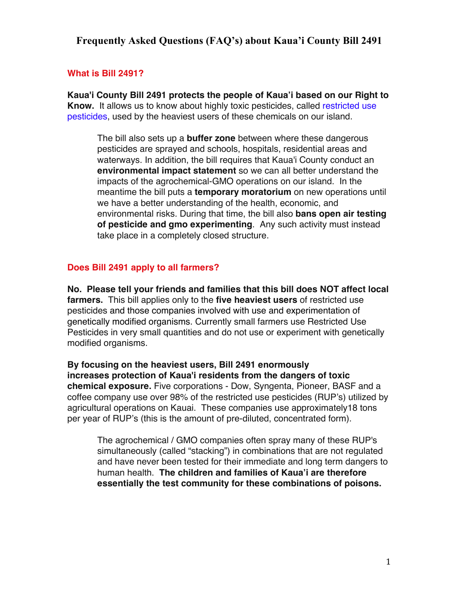# **Frequently Asked Questions (FAQ's) about Kaua'i County Bill 2491**

#### **What is Bill 2491?**

**Kaua'i County Bill 2491 protects the people of Kaua'i based on our Right to Know.** It allows us to know about highly toxic pesticides, called restricted use pesticides, used by the heaviest users of these chemicals on our island.

The bill also sets up a **buffer zone** between where these dangerous pesticides are sprayed and schools, hospitals, residential areas and waterways. In addition, the bill requires that Kaua'i County conduct an **environmental impact statement** so we can all better understand the impacts of the agrochemical-GMO operations on our island. In the meantime the bill puts a **temporary moratorium** on new operations until we have a better understanding of the health, economic, and environmental risks. During that time, the bill also **bans open air testing of pesticide and gmo experimenting**. Any such activity must instead take place in a completely closed structure.

### **Does Bill 2491 apply to all farmers?**

**No. Please tell your friends and families that this bill does NOT affect local farmers.** This bill applies only to the **five heaviest users** of restricted use pesticides and those companies involved with use and experimentation of genetically modified organisms. Currently small farmers use Restricted Use Pesticides in very small quantities and do not use or experiment with genetically modified organisms.

**By focusing on the heaviest users, Bill 2491 enormously increases protection of Kaua'i residents from the dangers of toxic chemical exposure.** Five corporations - Dow, Syngenta, Pioneer, BASF and a coffee company use over 98% of the restricted use pesticides (RUP's) utilized by agricultural operations on Kauai. These companies use approximately18 tons per year of RUP's (this is the amount of pre-diluted, concentrated form).

The agrochemical / GMO companies often spray many of these RUP's simultaneously (called "stacking") in combinations that are not regulated and have never been tested for their immediate and long term dangers to human health. **The children and families of Kaua'i are therefore essentially the test community for these combinations of poisons.**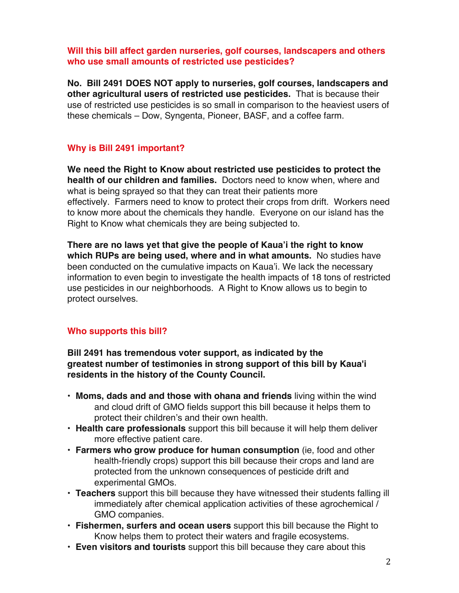#### **Will this bill affect garden nurseries, golf courses, landscapers and others who use small amounts of restricted use pesticides?**

**No. Bill 2491 DOES NOT apply to nurseries, golf courses, landscapers and other agricultural users of restricted use pesticides.** That is because their use of restricted use pesticides is so small in comparison to the heaviest users of these chemicals – Dow, Syngenta, Pioneer, BASF, and a coffee farm.

### **Why is Bill 2491 important?**

**We need the Right to Know about restricted use pesticides to protect the health of our children and families.** Doctors need to know when, where and what is being sprayed so that they can treat their patients more effectively. Farmers need to know to protect their crops from drift. Workers need to know more about the chemicals they handle. Everyone on our island has the Right to Know what chemicals they are being subjected to.

**There are no laws yet that give the people of Kaua'i the right to know which RUPs are being used, where and in what amounts.** No studies have been conducted on the cumulative impacts on Kaua'i. We lack the necessary information to even begin to investigate the health impacts of 18 tons of restricted use pesticides in our neighborhoods. A Right to Know allows us to begin to protect ourselves.

### **Who supports this bill?**

**Bill 2491 has tremendous voter support, as indicated by the greatest number of testimonies in strong support of this bill by Kaua'i residents in the history of the County Council.**

- **Moms, dads and and those with ohana and friends** living within the wind and cloud drift of GMO fields support this bill because it helps them to protect their children's and their own health.
- **Health care professionals** support this bill because it will help them deliver more effective patient care.
- **Farmers who grow produce for human consumption** (ie, food and other health-friendly crops) support this bill because their crops and land are protected from the unknown consequences of pesticide drift and experimental GMOs.
- **Teachers** support this bill because they have witnessed their students falling ill immediately after chemical application activities of these agrochemical / GMO companies.
- **Fishermen, surfers and ocean users** support this bill because the Right to Know helps them to protect their waters and fragile ecosystems.
- **Even visitors and tourists** support this bill because they care about this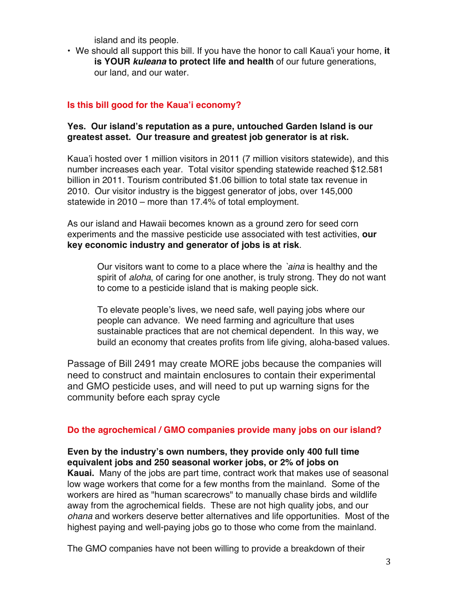island and its people.

• We should all support this bill. If you have the honor to call Kaua'i your home, **it is YOUR** *kuleana* **to protect life and health** of our future generations, our land, and our water.

## **Is this bill good for the Kaua'i economy?**

### **Yes. Our island's reputation as a pure, untouched Garden Island is our greatest asset. Our treasure and greatest job generator is at risk.**

Kaua'i hosted over 1 million visitors in 2011 (7 million visitors statewide), and this number increases each year. Total visitor spending statewide reached \$12.581 billion in 2011. Tourism contributed \$1.06 billion to total state tax revenue in 2010. Our visitor industry is the biggest generator of jobs, over 145,000 statewide in 2010 – more than 17.4% of total employment.

As our island and Hawaii becomes known as a ground zero for seed corn experiments and the massive pesticide use associated with test activities, **our key economic industry and generator of jobs is at risk**.

Our visitors want to come to a place where the *`aina* is healthy and the spirit of *aloha*, of caring for one another, is truly strong. They do not want to come to a pesticide island that is making people sick.

To elevate people's lives, we need safe, well paying jobs where our people can advance. We need farming and agriculture that uses sustainable practices that are not chemical dependent. In this way, we build an economy that creates profits from life giving, aloha-based values.

Passage of Bill 2491 may create MORE jobs because the companies will need to construct and maintain enclosures to contain their experimental and GMO pesticide uses, and will need to put up warning signs for the community before each spray cycle

#### **Do the agrochemical / GMO companies provide many jobs on our island?**

**Even by the industry's own numbers, they provide only 400 full time equivalent jobs and 250 seasonal worker jobs, or 2% of jobs on Kauai.** Many of the jobs are part time, contract work that makes use of seasonal low wage workers that come for a few months from the mainland. Some of the workers are hired as "human scarecrows" to manually chase birds and wildlife away from the agrochemical fields. These are not high quality jobs, and our *ohana* and workers deserve better alternatives and life opportunities. Most of the highest paying and well-paying jobs go to those who come from the mainland.

The GMO companies have not been willing to provide a breakdown of their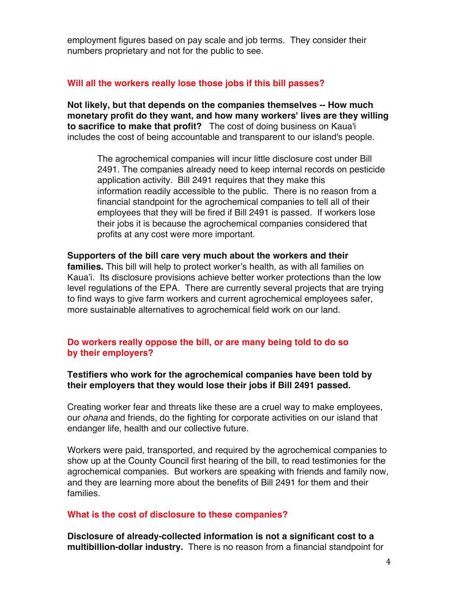employment figures based on pay scale and job terms. They consider their numbers proprietary and not for the public to see.

### **Will all the workers really lose those jobs if this bill passes?**

**Not likely, but that depends on the companies themselves -- How much monetary profit do they want, and how many workers' lives are they willing to sacrifice to make that profit?** The cost of doing business on Kaua'i includes the cost of being accountable and transparent to our island's people.

The agrochemical companies will incur little disclosure cost under Bill 2491. The companies already need to keep internal records on pesticide application activity. Bill 2491 requires that they make this information readily accessible to the public. There is no reason from a financial standpoint for the agrochemical companies to tell all of their employees that they will be fired if Bill 2491 is passed. If workers lose their jobs it is because the agrochemical companies considered that profits at any cost were more important.

**Supporters of the bill care very much about the workers and their families.** This bill will help to protect worker's health, as with all families on Kaua'i. Its disclosure provisions achieve better worker protections than the low level regulations of the EPA. There are currently several projects that are trying to find ways to give farm workers and current agrochemical employees safer, more sustainable alternatives to agrochemical field work on our land.

### **Do workers really oppose the bill, or are many being told to do so by their employers?**

#### **Testifiers who work for the agrochemical companies have been told by their employers that they would lose their jobs if Bill 2491 passed.**

Creating worker fear and threats like these are a cruel way to make employees, our *ohana* and friends, do the fighting for corporate activities on our island that endanger life, health and our collective future.

Workers were paid, transported, and required by the agrochemical companies to show up at the County Council first hearing of the bill, to read testimonies for the agrochemical companies. But workers are speaking with friends and family now, and they are learning more about the benefits of Bill 2491 for them and their families.

#### **What is the cost of disclosure to these companies?**

**Disclosure of already-collected information is not a significant cost to a multibillion-dollar industry.** There is no reason from a financial standpoint for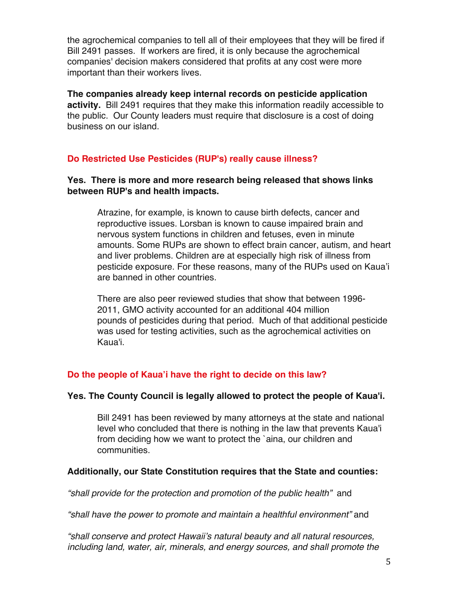the agrochemical companies to tell all of their employees that they will be fired if Bill 2491 passes. If workers are fired, it is only because the agrochemical companies' decision makers considered that profits at any cost were more important than their workers lives.

**The companies already keep internal records on pesticide application activity.** Bill 2491 requires that they make this information readily accessible to the public. Our County leaders must require that disclosure is a cost of doing business on our island.

### **Do Restricted Use Pesticides (RUP's) really cause illness?**

### **Yes. There is more and more research being released that shows links between RUP's and health impacts.**

Atrazine, for example, is known to cause birth defects, cancer and reproductive issues. Lorsban is known to cause impaired brain and nervous system functions in children and fetuses, even in minute amounts. Some RUPs are shown to effect brain cancer, autism, and heart and liver problems. Children are at especially high risk of illness from pesticide exposure. For these reasons, many of the RUPs used on Kaua'i are banned in other countries.

There are also peer reviewed studies that show that between 1996- 2011, GMO activity accounted for an additional 404 million pounds of pesticides during that period. Much of that additional pesticide was used for testing activities, such as the agrochemical activities on Kaua'i.

# **Do the people of Kaua'i have the right to decide on this law?**

#### **Yes. The County Council is legally allowed to protect the people of Kaua'i.**

Bill 2491 has been reviewed by many attorneys at the state and national level who concluded that there is nothing in the law that prevents Kaua'i from deciding how we want to protect the `aina, our children and communities.

#### **Additionally, our State Constitution requires that the State and counties:**

*"shall provide for the protection and promotion of the public health"* and

*"shall have the power to promote and maintain a healthful environment"* and

*"shall conserve and protect Hawaii's natural beauty and all natural resources, including land, water, air, minerals, and energy sources, and shall promote the*